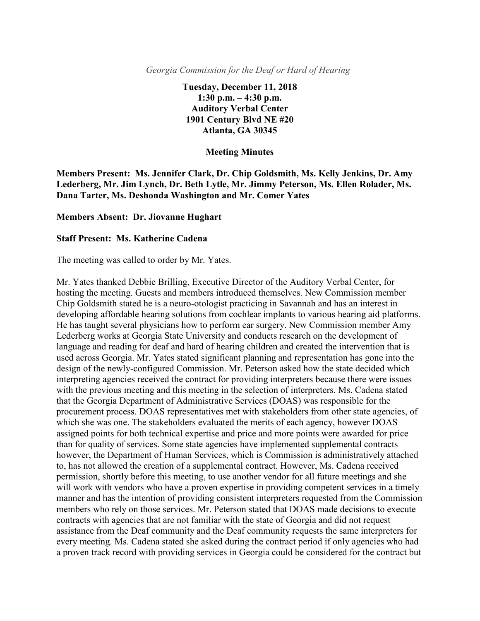*Georgia Commission for the Deaf or Hard of Hearing*

**Tuesday, December 11, 2018 1:30 p.m. – 4:30 p.m. Auditory Verbal Center 1901 Century Blvd NE #20 Atlanta, GA 30345**

## **Meeting Minutes**

**Members Present: Ms. Jennifer Clark, Dr. Chip Goldsmith, Ms. Kelly Jenkins, Dr. Amy Lederberg, Mr. Jim Lynch, Dr. Beth Lytle, Mr. Jimmy Peterson, Ms. Ellen Rolader, Ms. Dana Tarter, Ms. Deshonda Washington and Mr. Comer Yates**

## **Members Absent: Dr. Jiovanne Hughart**

## **Staff Present: Ms. Katherine Cadena**

The meeting was called to order by Mr. Yates.

Mr. Yates thanked Debbie Brilling, Executive Director of the Auditory Verbal Center, for hosting the meeting. Guests and members introduced themselves. New Commission member Chip Goldsmith stated he is a neuro-otologist practicing in Savannah and has an interest in developing affordable hearing solutions from cochlear implants to various hearing aid platforms. He has taught several physicians how to perform ear surgery. New Commission member Amy Lederberg works at Georgia State University and conducts research on the development of language and reading for deaf and hard of hearing children and created the intervention that is used across Georgia. Mr. Yates stated significant planning and representation has gone into the design of the newly-configured Commission. Mr. Peterson asked how the state decided which interpreting agencies received the contract for providing interpreters because there were issues with the previous meeting and this meeting in the selection of interpreters. Ms. Cadena stated that the Georgia Department of Administrative Services (DOAS) was responsible for the procurement process. DOAS representatives met with stakeholders from other state agencies, of which she was one. The stakeholders evaluated the merits of each agency, however DOAS assigned points for both technical expertise and price and more points were awarded for price than for quality of services. Some state agencies have implemented supplemental contracts however, the Department of Human Services, which is Commission is administratively attached to, has not allowed the creation of a supplemental contract. However, Ms. Cadena received permission, shortly before this meeting, to use another vendor for all future meetings and she will work with vendors who have a proven expertise in providing competent services in a timely manner and has the intention of providing consistent interpreters requested from the Commission members who rely on those services. Mr. Peterson stated that DOAS made decisions to execute contracts with agencies that are not familiar with the state of Georgia and did not request assistance from the Deaf community and the Deaf community requests the same interpreters for every meeting. Ms. Cadena stated she asked during the contract period if only agencies who had a proven track record with providing services in Georgia could be considered for the contract but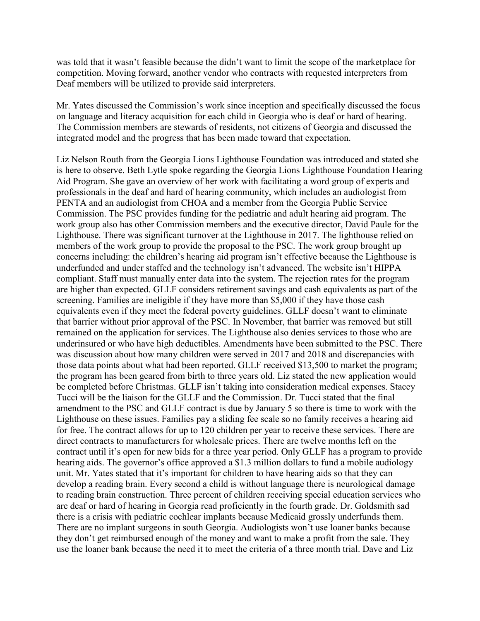was told that it wasn't feasible because the didn't want to limit the scope of the marketplace for competition. Moving forward, another vendor who contracts with requested interpreters from Deaf members will be utilized to provide said interpreters.

Mr. Yates discussed the Commission's work since inception and specifically discussed the focus on language and literacy acquisition for each child in Georgia who is deaf or hard of hearing. The Commission members are stewards of residents, not citizens of Georgia and discussed the integrated model and the progress that has been made toward that expectation.

Liz Nelson Routh from the Georgia Lions Lighthouse Foundation was introduced and stated she is here to observe. Beth Lytle spoke regarding the Georgia Lions Lighthouse Foundation Hearing Aid Program. She gave an overview of her work with facilitating a word group of experts and professionals in the deaf and hard of hearing community, which includes an audiologist from PENTA and an audiologist from CHOA and a member from the Georgia Public Service Commission. The PSC provides funding for the pediatric and adult hearing aid program. The work group also has other Commission members and the executive director, David Paule for the Lighthouse. There was significant turnover at the Lighthouse in 2017. The lighthouse relied on members of the work group to provide the proposal to the PSC. The work group brought up concerns including: the children's hearing aid program isn't effective because the Lighthouse is underfunded and under staffed and the technology isn't advanced. The website isn't HIPPA compliant. Staff must manually enter data into the system. The rejection rates for the program are higher than expected. GLLF considers retirement savings and cash equivalents as part of the screening. Families are ineligible if they have more than \$5,000 if they have those cash equivalents even if they meet the federal poverty guidelines. GLLF doesn't want to eliminate that barrier without prior approval of the PSC. In November, that barrier was removed but still remained on the application for services. The Lighthouse also denies services to those who are underinsured or who have high deductibles. Amendments have been submitted to the PSC. There was discussion about how many children were served in 2017 and 2018 and discrepancies with those data points about what had been reported. GLLF received \$13,500 to market the program; the program has been geared from birth to three years old. Liz stated the new application would be completed before Christmas. GLLF isn't taking into consideration medical expenses. Stacey Tucci will be the liaison for the GLLF and the Commission. Dr. Tucci stated that the final amendment to the PSC and GLLF contract is due by January 5 so there is time to work with the Lighthouse on these issues. Families pay a sliding fee scale so no family receives a hearing aid for free. The contract allows for up to 120 children per year to receive these services. There are direct contracts to manufacturers for wholesale prices. There are twelve months left on the contract until it's open for new bids for a three year period. Only GLLF has a program to provide hearing aids. The governor's office approved a \$1.3 million dollars to fund a mobile audiology unit. Mr. Yates stated that it's important for children to have hearing aids so that they can develop a reading brain. Every second a child is without language there is neurological damage to reading brain construction. Three percent of children receiving special education services who are deaf or hard of hearing in Georgia read proficiently in the fourth grade. Dr. Goldsmith sad there is a crisis with pediatric cochlear implants because Medicaid grossly underfunds them. There are no implant surgeons in south Georgia. Audiologists won't use loaner banks because they don't get reimbursed enough of the money and want to make a profit from the sale. They use the loaner bank because the need it to meet the criteria of a three month trial. Dave and Liz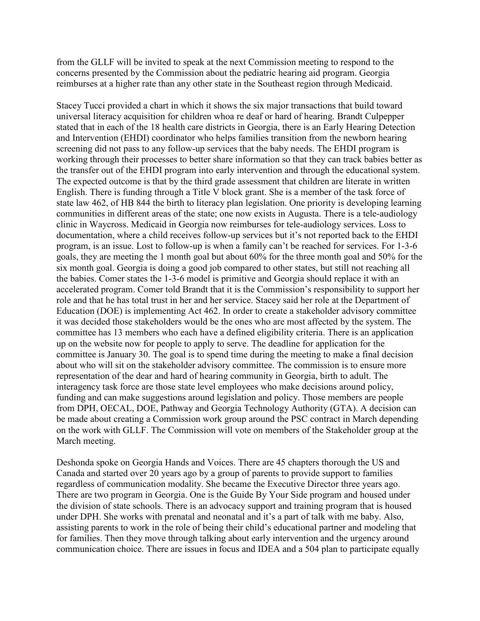from the GLLF will be invited to speak at the next Commission meeting to respond to the concerns presented by the Commission about the pediatric hearing aid program. Georgia reimburses at a higher rate than any other state in the Southeast region through Medicaid.

Stacey Tucci provided a chart in which it shows the six major transactions that build toward universal literacy acquisition for children whoa re deaf or hard of hearing. Brandt Culpepper stated that in each of the 18 health care districts in Georgia, there is an Early Hearing Detection and Intervention (EHDI) coordinator who helps families transition from the newborn hearing screening did not pass to any follow-up services that the baby needs. The EHDI program is working through their processes to better share information so that they can track babies better as the transfer out of the EHDI program into early intervention and through the educational system. The expected outcome is that by the third grade assessment that children are literate in written English. There is funding through a Title V block grant. She is a member of the task force of state law 462, of HB 844 the birth to literacy plan legislation. One priority is developing learning communities in different areas of the state; one now exists in Augusta. There is a tele-audiology clinic in Waycross. Medicaid in Georgia now reimburses for tele-audiology services. Loss to documentation, where a child receives follow-up services but it's not reported back to the EHDI program, is an issue. Lost to follow-up is when a family can't be reached for services. For 1-3-6 goals, they are meeting the 1 month goal but about 60% for the three month goal and 50% for the six month goal. Georgia is doing a good job compared to other states, but still not reaching all the babies. Comer states the 1-3-6 model is primitive and Georgia should replace it with an accelerated program. Comer told Brandt that it is the Commission's responsibility to support her role and that he has total trust in her and her service. Stacey said her role at the Department of Education (DOE) is implementing Act 462. In order to create a stakeholder advisory committee it was decided those stakeholders would be the ones who are most affected by the system. The committee has 13 members who each have a defined eligibility criteria. There is an application up on the website now for people to apply to serve. The deadline for application for the committee is January 30. The goal is to spend time during the meeting to make a final decision about who will sit on the stakeholder advisory committee. The commission is to ensure more representation of the dear and hard of hearing community in Georgia, birth to adult. The interagency task force are those state level employees who make decisions around policy, funding and can make suggestions around legislation and policy. Those members are people from DPH, OECAL, DOE, Pathway and Georgia Technology Authority (GTA). A decision can be made about creating a Commission work group around the PSC contract in March depending on the work with GLLF. The Commission will vote on members of the Stakeholder group at the March meeting.

Deshonda spoke on Georgia Hands and Voices. There are 45 chapters thorough the US and Canada and started over 20 years ago by a group of parents to provide support to families regardless of communication modality. She became the Executive Director three years ago. There are two program in Georgia. One is the Guide By Your Side program and housed under the division of state schools. There is an advocacy support and training program that is housed under DPH. She works with prenatal and neonatal and it's a part of talk with me baby. Also, assisting parents to work in the role of being their child's educational partner and modeling that for families. Then they move through talking about early intervention and the urgency around communication choice. There are issues in focus and IDEA and a 504 plan to participate equally